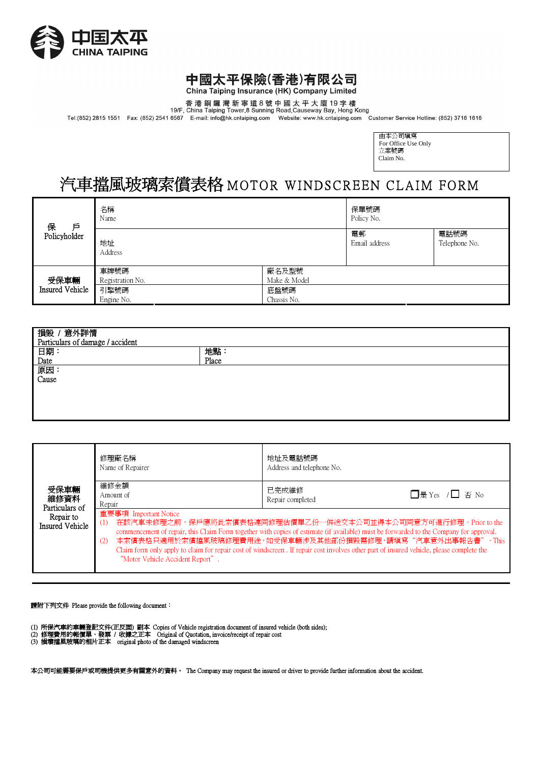

## 中國太平保險(香港)有限公司

China Taiping Insurance (HK) Company Limited

香港銅鑼灣新寧道8號中國太平大廈19字樓<br>19/F, China Taiping Tower,8 Sunning Road,Causeway Bay, Hong Kong<br>Tel:(852) 2815 1551 Fax: (852) 2541 6567 E-mail: info@hk.cntaiping.com Website: www.hk.cntaiping.com Customer Service Hotline: (852) 37

| 由本公司塡寫              |
|---------------------|
| For Office Use Only |
| 立案號碼                |
| Claim No.           |
|                     |

# 汽車擋風玻璃索償表格 MOTOR WINDSCREEN CLAIM FORM

| 保<br>戶                         | 名稱<br>Name               |                       | 保單號碼<br>Policy No.  |                       |
|--------------------------------|--------------------------|-----------------------|---------------------|-----------------------|
| Policyholder                   | 地址<br>Address            |                       | 電郵<br>Email address | 電話號碼<br>Telephone No. |
| 受保車輛<br><b>Insured Vehicle</b> | 車牌號碼<br>Registration No. | 廠名及型號<br>Make & Model |                     |                       |
|                                | 引擎號碼<br>Engine No.       | 底盤號碼<br>Chassis No.   |                     |                       |

| 損毀 / 意外詳情<br>Particulars of damage / accident |       |  |  |  |
|-----------------------------------------------|-------|--|--|--|
| 日期:<br>Date                                   | 地點:   |  |  |  |
|                                               | Place |  |  |  |
| 原因:<br>Cause                                  |       |  |  |  |
|                                               |       |  |  |  |
|                                               |       |  |  |  |
|                                               |       |  |  |  |
|                                               |       |  |  |  |

| 受保車輛<br>維修資料<br>Particulars of<br>Repair to<br>Insured Vehicle | 修理廠名稱<br>Name of Repairer                                                                                                                                                                                                                                                                                                                                                                                                                                          | 地址及電話號碼<br>Address and telephone No. |                 |
|----------------------------------------------------------------|--------------------------------------------------------------------------------------------------------------------------------------------------------------------------------------------------------------------------------------------------------------------------------------------------------------------------------------------------------------------------------------------------------------------------------------------------------------------|--------------------------------------|-----------------|
|                                                                | 維修金額<br>Amount of<br>Repair<br>重要事項 Important Notice                                                                                                                                                                                                                                                                                                                                                                                                               | 已完成維修<br>Repair completed            | □是 Yes / □ 否 No |
|                                                                | 在該汽車未修理之前,保戶應將此索償表格連同修理估價單乙份一併送交本公司並得本公司同意方可進行修理。Prior to the<br>(1)<br>commencement of repair, this Claim Form together with copies of estimate (if available) must be forwarded to the Company for approval.<br>本索償表格只適用於索償擋風玻璃修理費用途,如受保車輛涉及其他部份損毀需修理,請填寫"汽車意外出事報告書"。This<br>(2)<br>Claim form only apply to claim for repair cost of windscreen. If repair cost involves other part of insured vehicle, please complete the<br>"Motor Vehicle Accident Report". |                                      |                 |

請附下列文件 Please provide the following document:

- 
- (1) 所保汽車的車輛登記文件(正反面) 副本 Copies of Vehicle registration document of insured vehicle (both sides);<br>(2) 修理費用的報價單、發票 / 收據之正本 Original of Quotation, invoice/receipt of repair cost<br>(3) 損壞擋風玻璃的相片正本 original photo of the damaged
- 

本公司可能需要保戶或司機提供更多有關意外的資料。 The Company may request the insured or driver to provide further information about the accident.